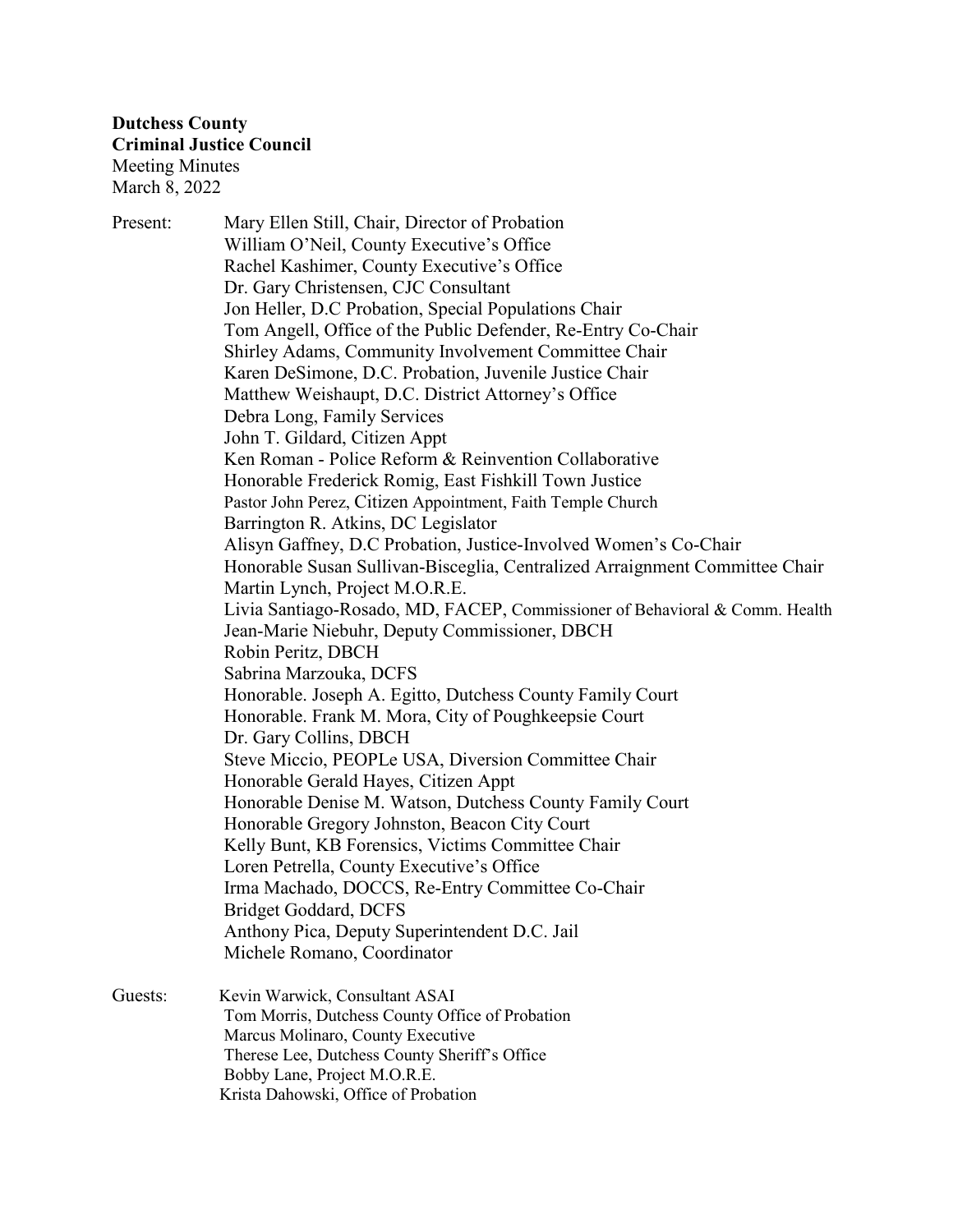Present: Mary Ellen Still, Chair, Director of Probation William O'Neil, County Executive's Office Rachel Kashimer, County Executive's Office Dr. Gary Christensen, CJC Consultant Jon Heller, D.C Probation, Special Populations Chair Tom Angell, Office of the Public Defender, Re-Entry Co-Chair Shirley Adams, Community Involvement Committee Chair Karen DeSimone, D.C. Probation, Juvenile Justice Chair Matthew Weishaupt, D.C. District Attorney's Office Debra Long, Family Services John T. Gildard, Citizen Appt Ken Roman - Police Reform & Reinvention Collaborative Honorable Frederick Romig, East Fishkill Town Justice Pastor John Perez, Citizen Appointment, Faith Temple Church Barrington R. Atkins, DC Legislator Alisyn Gaffney, D.C Probation, Justice-Involved Women's Co-Chair Honorable Susan Sullivan-Bisceglia, Centralized Arraignment Committee Chair Martin Lynch, Project M.O.R.E. Livia Santiago-Rosado, MD, FACEP, Commissioner of Behavioral & Comm. Health Jean-Marie Niebuhr, Deputy Commissioner, DBCH Robin Peritz, DBCH Sabrina Marzouka, DCFS Honorable. Joseph A. Egitto, Dutchess County Family Court Honorable. Frank M. Mora, City of Poughkeepsie Court Dr. Gary Collins, DBCH Steve Miccio, PEOPLe USA, Diversion Committee Chair Honorable Gerald Hayes, Citizen Appt Honorable Denise M. Watson, Dutchess County Family Court Honorable Gregory Johnston, Beacon City Court Kelly Bunt, KB Forensics, Victims Committee Chair Loren Petrella, County Executive's Office Irma Machado, DOCCS, Re-Entry Committee Co-Chair Bridget Goddard, DCFS Anthony Pica, Deputy Superintendent D.C. Jail Michele Romano, Coordinator Guests: Kevin Warwick, Consultant ASAI Tom Morris, Dutchess County Office of Probation Marcus Molinaro, County Executive Therese Lee, Dutchess County Sheriff's Office Bobby Lane, Project M.O.R.E.

Krista Dahowski, Office of Probation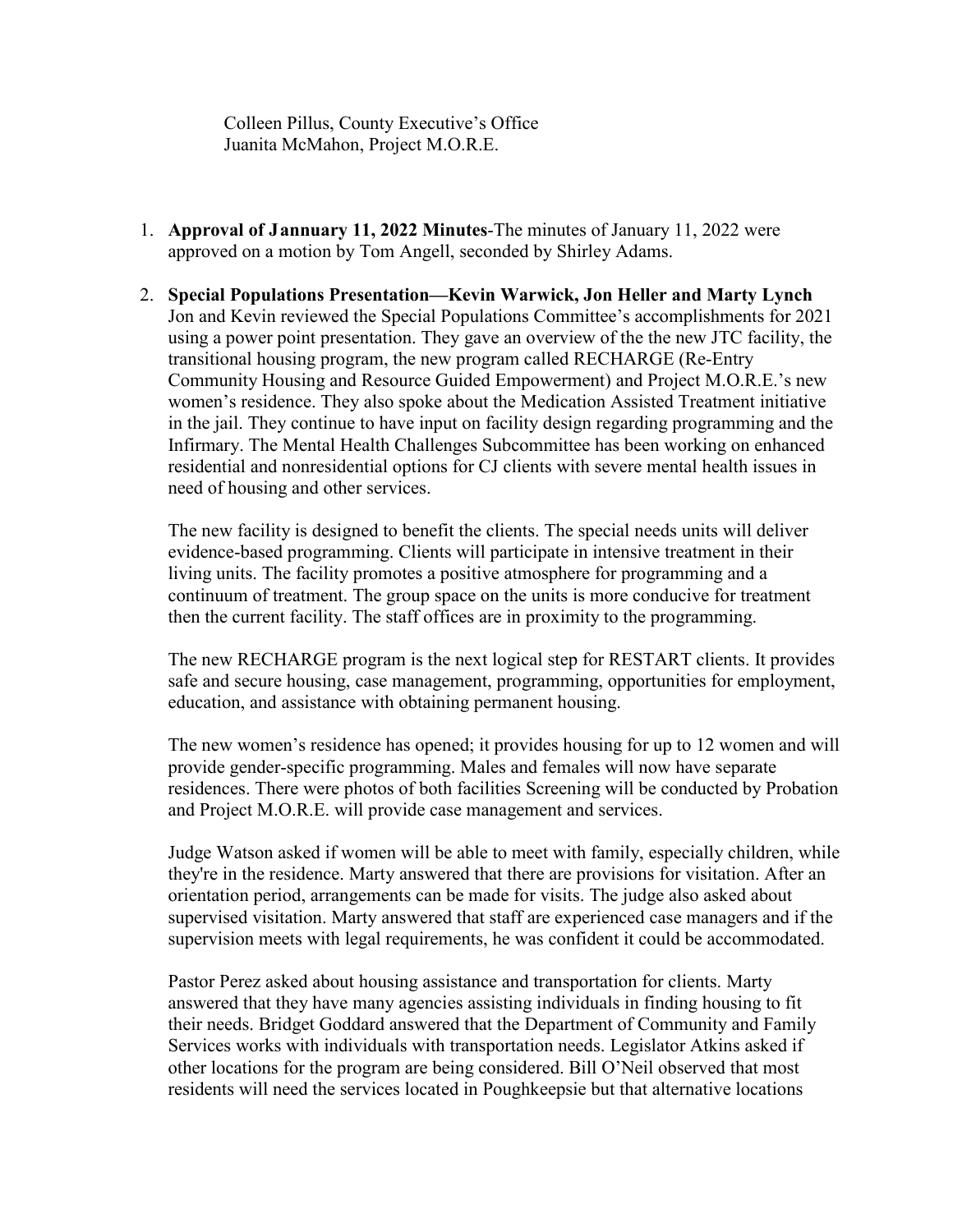Colleen Pillus, County Executive's Office Juanita McMahon, Project M.O.R.E.

- 1. **Approval of Jannuary 11, 2022 Minutes**-The minutes of January 11, 2022 were approved on a motion by Tom Angell, seconded by Shirley Adams.
- 2. **Special Populations Presentation—Kevin Warwick, Jon Heller and Marty Lynch** Jon and Kevin reviewed the Special Populations Committee's accomplishments for 2021 using a power point presentation. They gave an overview of the the new JTC facility, the transitional housing program, the new program called RECHARGE (Re-Entry Community Housing and Resource Guided Empowerment) and Project M.O.R.E.'s new women's residence. They also spoke about the Medication Assisted Treatment initiative in the jail. They continue to have input on facility design regarding programming and the Infirmary. The Mental Health Challenges Subcommittee has been working on enhanced residential and nonresidential options for CJ clients with severe mental health issues in need of housing and other services.

The new facility is designed to benefit the clients. The special needs units will deliver evidence-based programming. Clients will participate in intensive treatment in their living units. The facility promotes a positive atmosphere for programming and a continuum of treatment. The group space on the units is more conducive for treatment then the current facility. The staff offices are in proximity to the programming.

The new RECHARGE program is the next logical step for RESTART clients. It provides safe and secure housing, case management, programming, opportunities for employment, education, and assistance with obtaining permanent housing.

The new women's residence has opened; it provides housing for up to 12 women and will provide gender-specific programming. Males and females will now have separate residences. There were photos of both facilities Screening will be conducted by Probation and Project M.O.R.E. will provide case management and services.

Judge Watson asked if women will be able to meet with family, especially children, while they're in the residence. Marty answered that there are provisions for visitation. After an orientation period, arrangements can be made for visits. The judge also asked about supervised visitation. Marty answered that staff are experienced case managers and if the supervision meets with legal requirements, he was confident it could be accommodated.

Pastor Perez asked about housing assistance and transportation for clients. Marty answered that they have many agencies assisting individuals in finding housing to fit their needs. Bridget Goddard answered that the Department of Community and Family Services works with individuals with transportation needs. Legislator Atkins asked if other locations for the program are being considered. Bill O'Neil observed that most residents will need the services located in Poughkeepsie but that alternative locations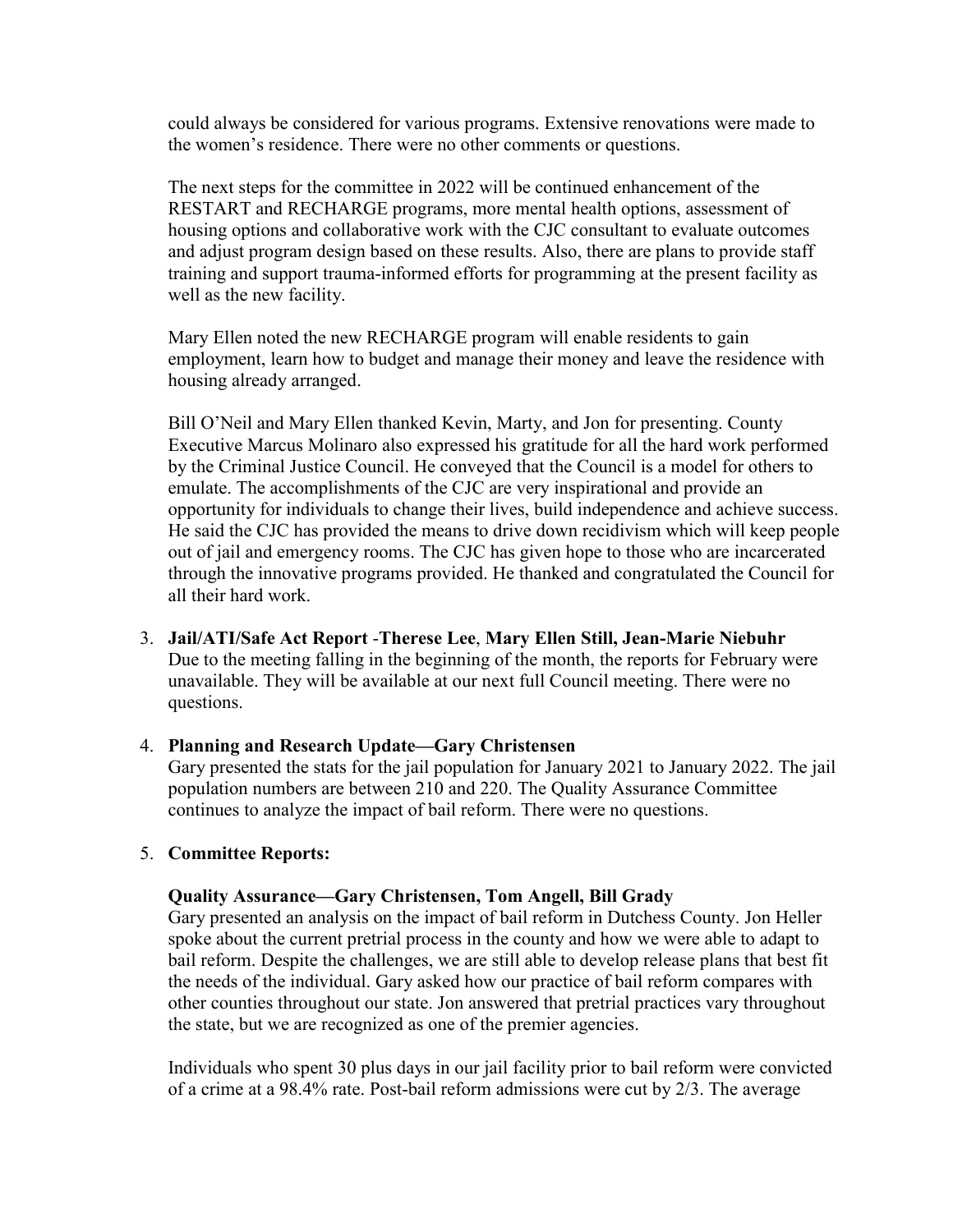could always be considered for various programs. Extensive renovations were made to the women's residence. There were no other comments or questions.

The next steps for the committee in 2022 will be continued enhancement of the RESTART and RECHARGE programs, more mental health options, assessment of housing options and collaborative work with the CJC consultant to evaluate outcomes and adjust program design based on these results. Also, there are plans to provide staff training and support trauma-informed efforts for programming at the present facility as well as the new facility.

Mary Ellen noted the new RECHARGE program will enable residents to gain employment, learn how to budget and manage their money and leave the residence with housing already arranged.

Bill O'Neil and Mary Ellen thanked Kevin, Marty, and Jon for presenting. County Executive Marcus Molinaro also expressed his gratitude for all the hard work performed by the Criminal Justice Council. He conveyed that the Council is a model for others to emulate. The accomplishments of the CJC are very inspirational and provide an opportunity for individuals to change their lives, build independence and achieve success. He said the CJC has provided the means to drive down recidivism which will keep people out of jail and emergency rooms. The CJC has given hope to those who are incarcerated through the innovative programs provided. He thanked and congratulated the Council for all their hard work.

3. **Jail/ATI/Safe Act Report** -**Therese Lee**, **Mary Ellen Still, Jean-Marie Niebuhr** Due to the meeting falling in the beginning of the month, the reports for February were unavailable. They will be available at our next full Council meeting. There were no questions.

### 4. **Planning and Research Update—Gary Christensen**

Gary presented the stats for the jail population for January 2021 to January 2022. The jail population numbers are between 210 and 220. The Quality Assurance Committee continues to analyze the impact of bail reform. There were no questions.

### 5. **Committee Reports:**

### **Quality Assurance—Gary Christensen, Tom Angell, Bill Grady**

Gary presented an analysis on the impact of bail reform in Dutchess County. Jon Heller spoke about the current pretrial process in the county and how we were able to adapt to bail reform. Despite the challenges, we are still able to develop release plans that best fit the needs of the individual. Gary asked how our practice of bail reform compares with other counties throughout our state. Jon answered that pretrial practices vary throughout the state, but we are recognized as one of the premier agencies.

Individuals who spent 30 plus days in our jail facility prior to bail reform were convicted of a crime at a 98.4% rate. Post-bail reform admissions were cut by 2/3. The average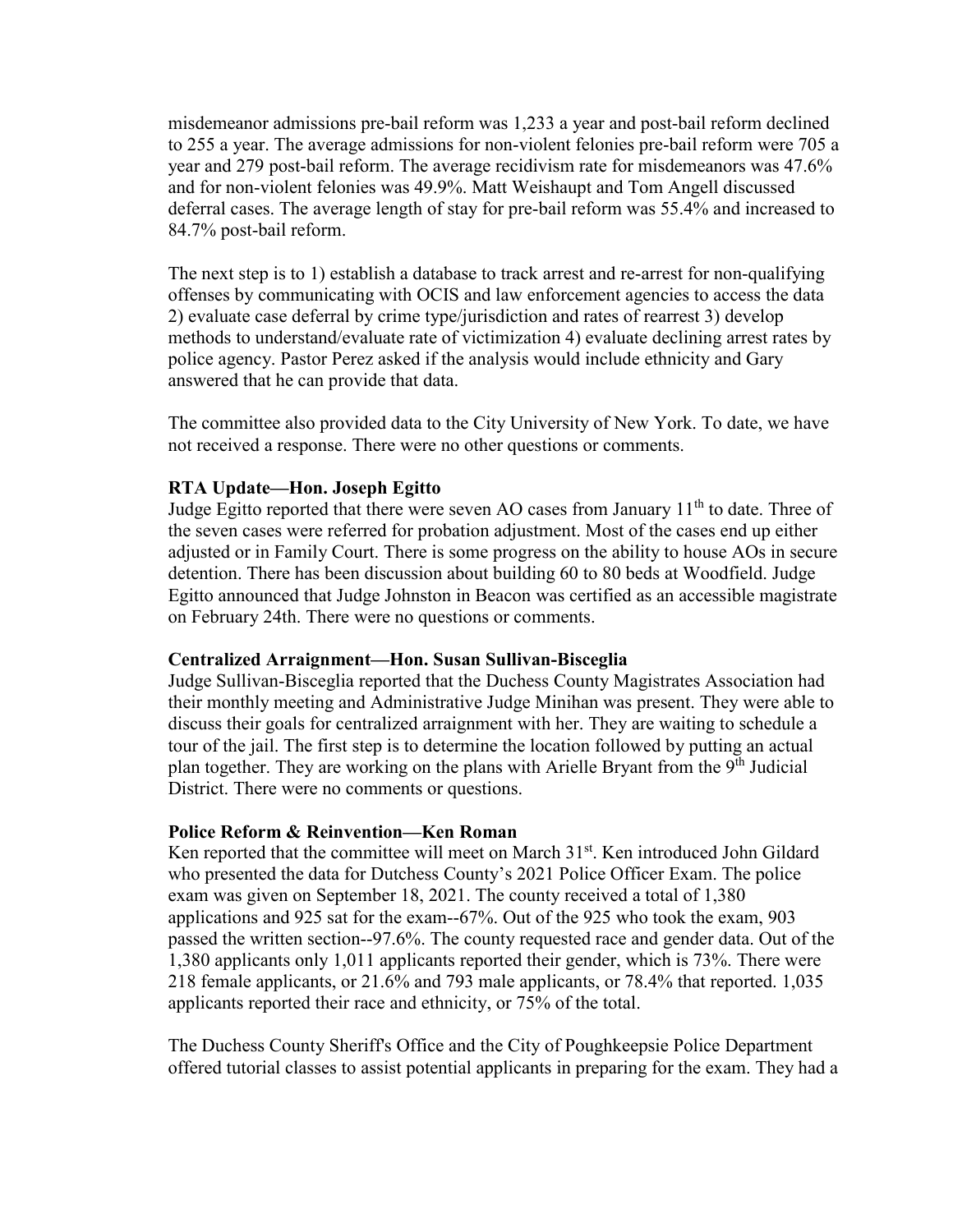misdemeanor admissions pre-bail reform was 1,233 a year and post-bail reform declined to 255 a year. The average admissions for non-violent felonies pre-bail reform were 705 a year and 279 post-bail reform. The average recidivism rate for misdemeanors was 47.6% and for non-violent felonies was 49.9%. Matt Weishaupt and Tom Angell discussed deferral cases. The average length of stay for pre-bail reform was 55.4% and increased to 84.7% post-bail reform.

The next step is to 1) establish a database to track arrest and re-arrest for non-qualifying offenses by communicating with OCIS and law enforcement agencies to access the data 2) evaluate case deferral by crime type/jurisdiction and rates of rearrest 3) develop methods to understand/evaluate rate of victimization 4) evaluate declining arrest rates by police agency. Pastor Perez asked if the analysis would include ethnicity and Gary answered that he can provide that data.

The committee also provided data to the City University of New York. To date, we have not received a response. There were no other questions or comments.

## **RTA Update—Hon. Joseph Egitto**

Judge Egitto reported that there were seven AO cases from January  $11<sup>th</sup>$  to date. Three of the seven cases were referred for probation adjustment. Most of the cases end up either adjusted or in Family Court. There is some progress on the ability to house AOs in secure detention. There has been discussion about building 60 to 80 beds at Woodfield. Judge Egitto announced that Judge Johnston in Beacon was certified as an accessible magistrate on February 24th. There were no questions or comments.

## **Centralized Arraignment—Hon. Susan Sullivan-Bisceglia**

Judge Sullivan-Bisceglia reported that the Duchess County Magistrates Association had their monthly meeting and Administrative Judge Minihan was present. They were able to discuss their goals for centralized arraignment with her. They are waiting to schedule a tour of the jail. The first step is to determine the location followed by putting an actual plan together. They are working on the plans with Arielle Bryant from the 9<sup>th</sup> Judicial District. There were no comments or questions.

### **Police Reform & Reinvention—Ken Roman**

Ken reported that the committee will meet on March 31<sup>st</sup>. Ken introduced John Gildard who presented the data for Dutchess County's 2021 Police Officer Exam. The police exam was given on September 18, 2021. The county received a total of 1,380 applications and 925 sat for the exam--67%. Out of the 925 who took the exam, 903 passed the written section--97.6%. The county requested race and gender data. Out of the 1,380 applicants only 1,011 applicants reported their gender, which is 73%. There were 218 female applicants, or 21.6% and 793 male applicants, or 78.4% that reported. 1,035 applicants reported their race and ethnicity, or 75% of the total.

The Duchess County Sheriff's Office and the City of Poughkeepsie Police Department offered tutorial classes to assist potential applicants in preparing for the exam. They had a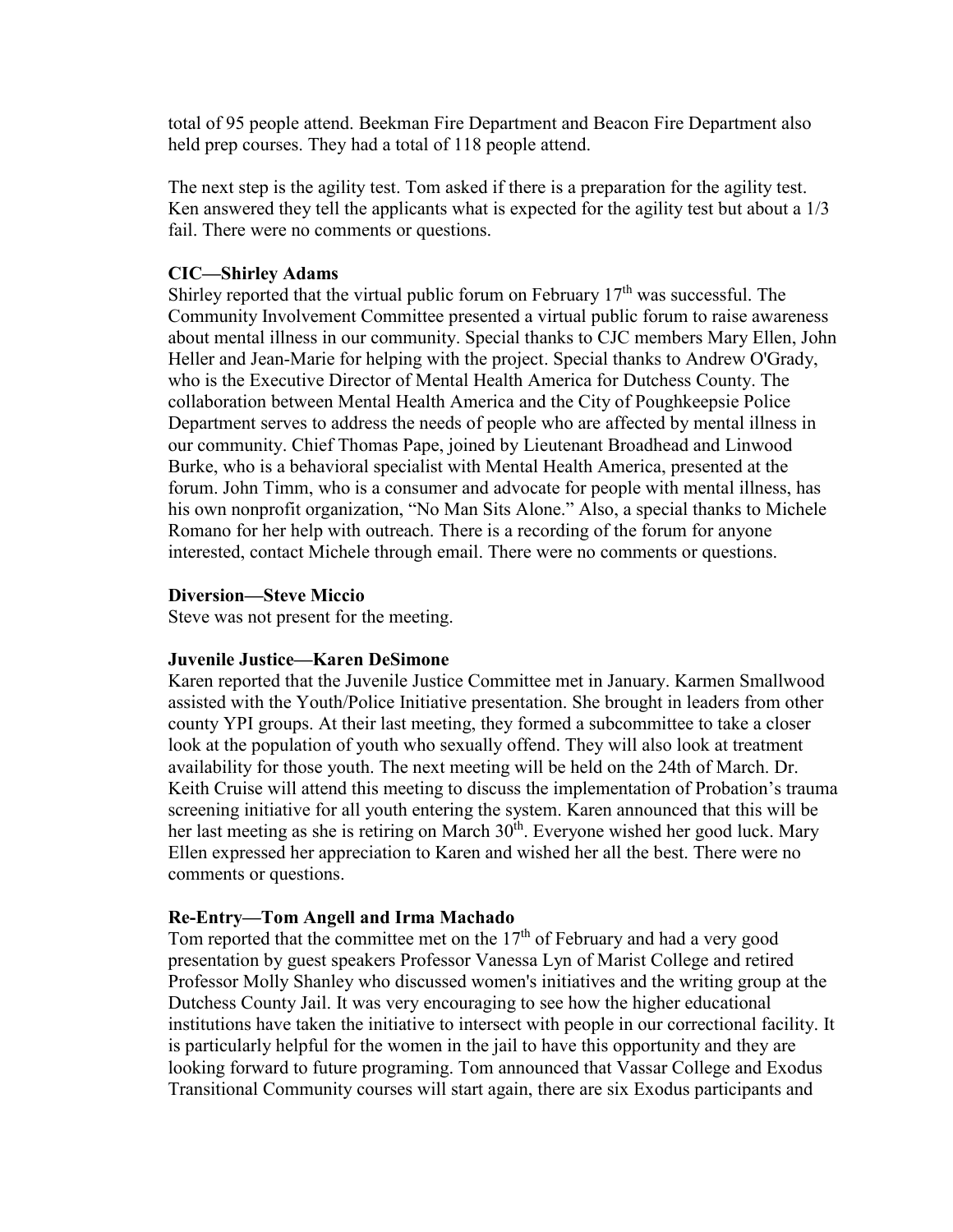total of 95 people attend. Beekman Fire Department and Beacon Fire Department also held prep courses. They had a total of 118 people attend.

The next step is the agility test. Tom asked if there is a preparation for the agility test. Ken answered they tell the applicants what is expected for the agility test but about a  $1/3$ fail. There were no comments or questions.

#### **CIC—Shirley Adams**

Shirley reported that the virtual public forum on February  $17<sup>th</sup>$  was successful. The Community Involvement Committee presented a virtual public forum to raise awareness about mental illness in our community. Special thanks to CJC members Mary Ellen, John Heller and Jean-Marie for helping with the project. Special thanks to Andrew O'Grady, who is the Executive Director of Mental Health America for Dutchess County. The collaboration between Mental Health America and the City of Poughkeepsie Police Department serves to address the needs of people who are affected by mental illness in our community. Chief Thomas Pape, joined by Lieutenant Broadhead and Linwood Burke, who is a behavioral specialist with Mental Health America, presented at the forum. John Timm, who is a consumer and advocate for people with mental illness, has his own nonprofit organization, "No Man Sits Alone." Also, a special thanks to Michele Romano for her help with outreach. There is a recording of the forum for anyone interested, contact Michele through email. There were no comments or questions.

#### **Diversion—Steve Miccio**

Steve was not present for the meeting.

#### **Juvenile Justice—Karen DeSimone**

Karen reported that the Juvenile Justice Committee met in January. Karmen Smallwood assisted with the Youth/Police Initiative presentation. She brought in leaders from other county YPI groups. At their last meeting, they formed a subcommittee to take a closer look at the population of youth who sexually offend. They will also look at treatment availability for those youth. The next meeting will be held on the 24th of March. Dr. Keith Cruise will attend this meeting to discuss the implementation of Probation's trauma screening initiative for all youth entering the system. Karen announced that this will be her last meeting as she is retiring on March  $30<sup>th</sup>$ . Everyone wished her good luck. Mary Ellen expressed her appreciation to Karen and wished her all the best. There were no comments or questions.

#### **Re-Entry—Tom Angell and Irma Machado**

Tom reported that the committee met on the  $17<sup>th</sup>$  of February and had a very good presentation by guest speakers Professor Vanessa Lyn of Marist College and retired Professor Molly Shanley who discussed women's initiatives and the writing group at the Dutchess County Jail. It was very encouraging to see how the higher educational institutions have taken the initiative to intersect with people in our correctional facility. It is particularly helpful for the women in the jail to have this opportunity and they are looking forward to future programing. Tom announced that Vassar College and Exodus Transitional Community courses will start again, there are six Exodus participants and